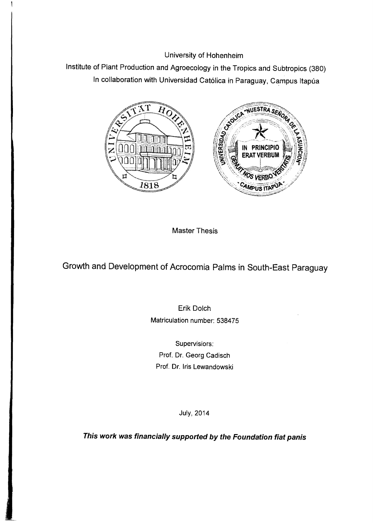University of Hohenheim

Institute of Plant Production and Agroecology in the Tropics and Subtropics (380) In collaboration with Universidad Católica in Paraguay, Campus Itapúa



Master Thesis

Growth and Development of Acrocomia Palms in South-East Paraguay

Erik Dolch Matriculation number: 538475

Supervisiors: Prof. Dr. Georg Cadisch Prof. Dr. Iris Lewandowski

July, 2014

This work was financially supported by the Foundation fiat panis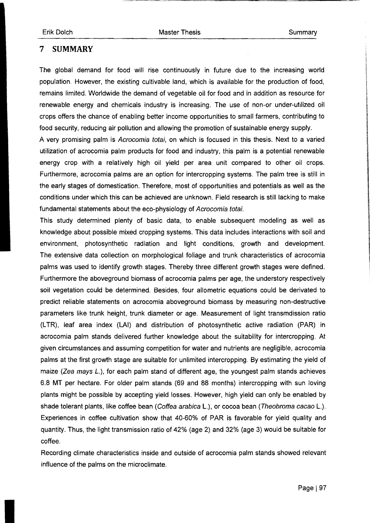## 7 **SUMMARY**

The global demand for food will rise continuously in future due to the increasing world population. However, the existing cultivable land, which is available for the production of food, remains limited. Worldwide the demand of vegetable oil for food and in addition as resource for renewable energy and chemicals industry is increasing. The use of non-or under-utilized oil crops offers the chance of enabling better income opportunities to small farmers, contributing to food security, reducing air pollution and allowing the promotion of sustainable energy supply. A very promising palm is Acrocomia totai, on which is focused in this thesis. Next to a varied

utilization of acrocomia palm products for food and industry, this palm is a potential renewable energy crop with a relatively high oil yield per area unit compared to other oil crops. Furthermore, acrocomia palms are an option for intercropping systems. The palm tree is still in the early stages of domestication. Therefore, most of opportunities and potentials as weil as the conditions under which this can be achieved are unknown. Field research is still lacking to make fundamental statements about the eco-physiology of Acrocomia totai.

This study determined plenty of basic data, to enable subsequent modeling as weil as knowledge about possible mixed cropping systems. This data includes interactions with soil and environment, photosynthetic radiation and light conditions, growth and development. The extensive data collection on morphological foliage and trunk characteristics of acrocomia palms was used to identify growth stages. Thereby three different growth stages were defined. Furthermore the aboveground biomass of acrocomia palms per age, the understory respectively soil vegetation could be determined. Besides, four allometric equations could be derivated to predict reliable statements on acrocomia aboveground biomass by measuring non-destructive parameters Iike trunk height, trunk diameter or age. Measurement of light transmdission ratio (L TR), leaf area index (LAI) and distribution of photosynthetic active radiation (PAR) in acrocomia palm stands delivered further knowledge about the suitability for intercropping. At given circumstances and assuming competition for water and nutrients are negligible, acrocomia palms at the first growth stage are suitable for unlimited intercropping. By estimating the yield of maize (Zea mays L.), for each palm stand of different age, the youngest palm stands achieves 6.8 MT per hectare. For older palm stands (69 and 88 months) intercropping with sun loving plants might be possible by accepting yield losses. However, high yield can only be enabled by shade tolerant plants, like coffee bean (Coffea arabica L.), or cocoa bean (Theobroma cacao L.). Experiences in coffee cultivation show that 40-60% of PAR is favorable for yield quality and quantity. Thus, the light transmission ratio of 42% (age 2) and 32% (age 3) would be suitable for coffee.

Recording climate characteristics inside and outside of acrocomia palm stands showed relevant influence of the palms on the microclimate.